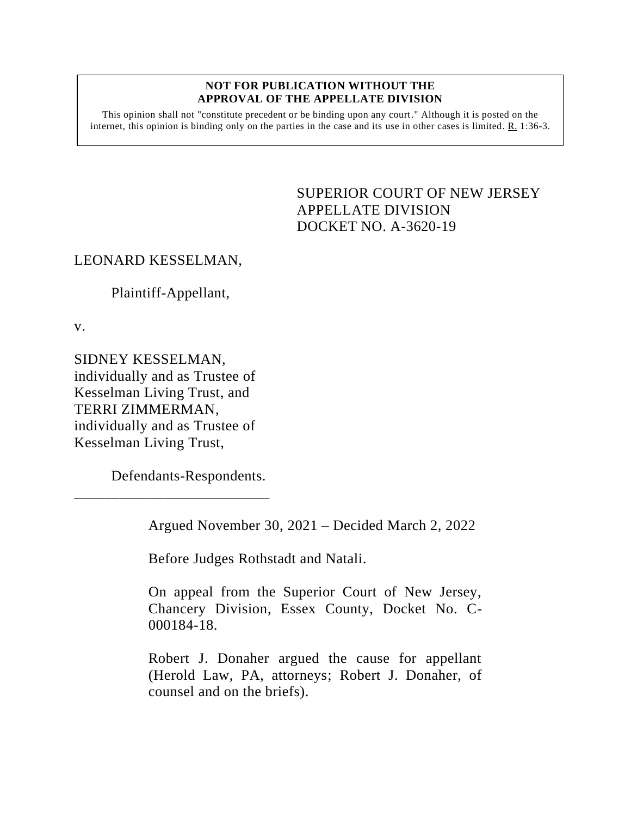#### **NOT FOR PUBLICATION WITHOUT THE APPROVAL OF THE APPELLATE DIVISION**

This opinion shall not "constitute precedent or be binding upon any court." Although it is posted on the internet, this opinion is binding only on the parties in the case and its use in other cases is limited.  $R_1$  1:36-3.

> <span id="page-0-0"></span>SUPERIOR COURT OF NEW JERSEY APPELLATE DIVISION DOCKET NO. A-3620-19

## LEONARD KESSELMAN,

Plaintiff-Appellant,

v.

SIDNEY KESSELMAN, individually and as Trustee of Kesselman Living Trust, and TERRI ZIMMERMAN, individually and as Trustee of Kesselman Living Trust,

Defendants-Respondents.

\_\_\_\_\_\_\_\_\_\_\_\_\_\_\_\_\_\_\_\_\_\_\_\_\_\_

Argued November 30, 2021 – Decided March 2, 2022

Before Judges Rothstadt and Natali.

On appeal from the Superior Court of New Jersey, Chancery Division, Essex County, Docket No. C-000184-18.

Robert J. Donaher argued the cause for appellant (Herold Law, PA, attorneys; Robert J. Donaher, of counsel and on the briefs).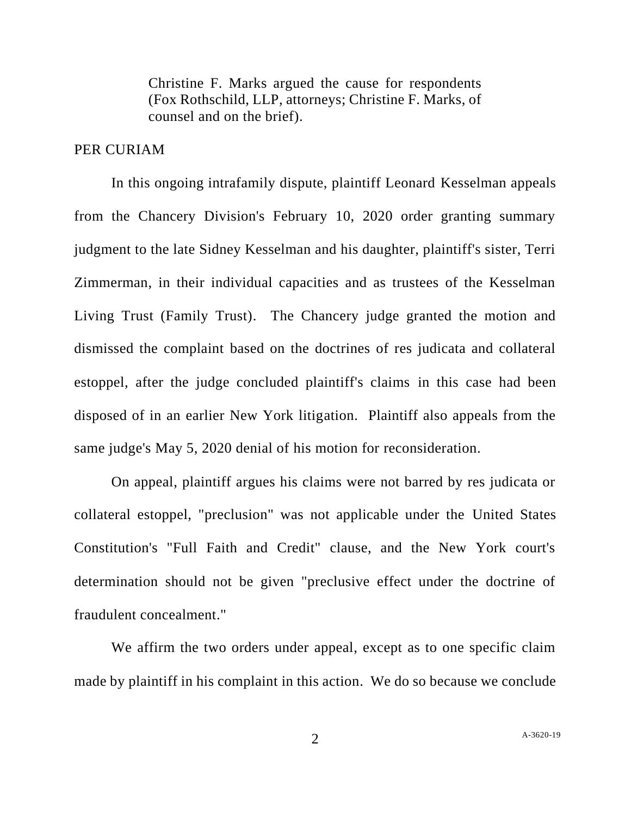Christine F. Marks argued the cause for respondents (Fox Rothschild, LLP, attorneys; Christine F. Marks, of counsel and on the brief).

### PER CURIAM

In this ongoing intrafamily dispute, plaintiff Leonard Kesselman appeals from the Chancery Division's February 10, 2020 order granting summary judgment to the late Sidney Kesselman and his daughter, plaintiff's sister, Terri Zimmerman, in their individual capacities and as trustees of the Kesselman Living Trust (Family Trust). The Chancery judge granted the motion and dismissed the complaint based on the doctrines of res judicata and collateral estoppel, after the judge concluded plaintiff's claims in this case had been disposed of in an earlier New York litigation. Plaintiff also appeals from the same judge's May 5, 2020 denial of his motion for reconsideration.

On appeal, plaintiff argues his claims were not barred by res judicata or collateral estoppel, "preclusion" was not applicable under the United States Constitution's "Full Faith and Credit" clause, and the New York court's determination should not be given "preclusive effect under the doctrine of fraudulent concealment."

We affirm the two orders under appeal, except as to one specific claim made by plaintiff in his complaint in this action. We do so because we conclude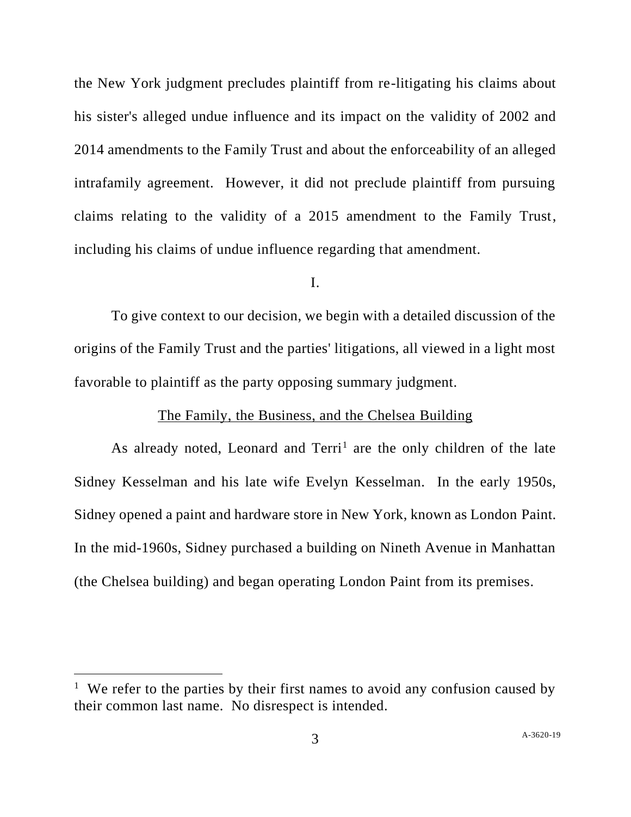the New York judgment precludes plaintiff from re-litigating his claims about his sister's alleged undue influence and its impact on the validity of 2002 and 2014 amendments to the Family Trust and about the enforceability of an alleged intrafamily agreement. However, it did not preclude plaintiff from pursuing claims relating to the validity of a 2015 amendment to the Family Trust, including his claims of undue influence regarding that amendment.

I.

To give context to our decision, we begin with a detailed discussion of the origins of the Family Trust and the parties' litigations, all viewed in a light most favorable to plaintiff as the party opposing summary judgment.

# The Family, the Business, and the Chelsea Building

As already noted, Leonard and Terri<sup>1</sup> are the only children of the late Sidney Kesselman and his late wife Evelyn Kesselman. In the early 1950s, Sidney opened a paint and hardware store in New York, known as London Paint. In the mid-1960s, Sidney purchased a building on Nineth Avenue in Manhattan (the Chelsea building) and began operating London Paint from its premises.

<sup>&</sup>lt;sup>1</sup> We refer to the parties by their first names to avoid any confusion caused by their common last name. No disrespect is intended.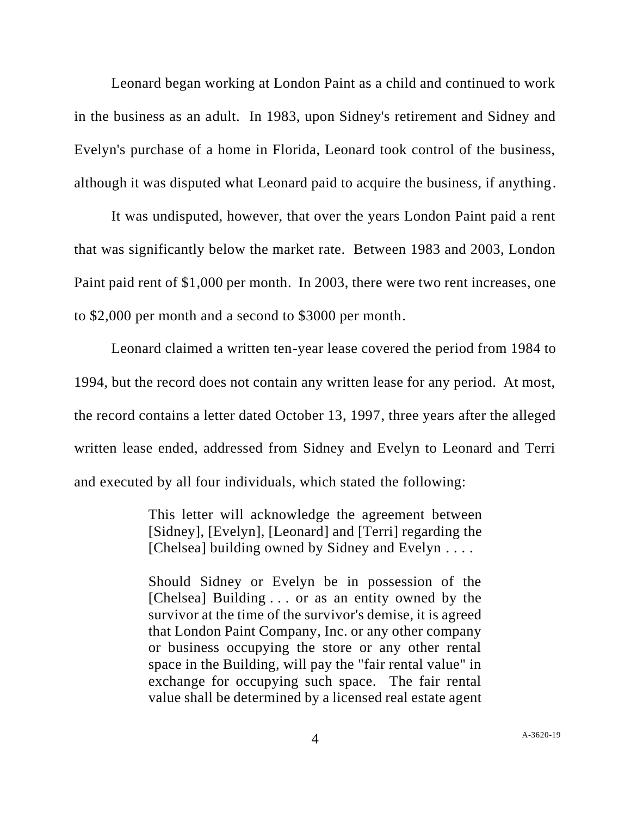Leonard began working at London Paint as a child and continued to work in the business as an adult. In 1983, upon Sidney's retirement and Sidney and Evelyn's purchase of a home in Florida, Leonard took control of the business, although it was disputed what Leonard paid to acquire the business, if anything.

It was undisputed, however, that over the years London Paint paid a rent that was significantly below the market rate. Between 1983 and 2003, London Paint paid rent of \$1,000 per month. In 2003, there were two rent increases, one to \$2,000 per month and a second to \$3000 per month.

Leonard claimed a written ten-year lease covered the period from 1984 to 1994, but the record does not contain any written lease for any period. At most, the record contains a letter dated October 13, 1997, three years after the alleged written lease ended, addressed from Sidney and Evelyn to Leonard and Terri and executed by all four individuals, which stated the following:

> This letter will acknowledge the agreement between [Sidney], [Evelyn], [Leonard] and [Terri] regarding the [Chelsea] building owned by Sidney and Evelyn . . . .

> Should Sidney or Evelyn be in possession of the [Chelsea] Building . . . or as an entity owned by the survivor at the time of the survivor's demise, it is agreed that London Paint Company, Inc. or any other company or business occupying the store or any other rental space in the Building, will pay the "fair rental value" in exchange for occupying such space. The fair rental value shall be determined by a licensed real estate agent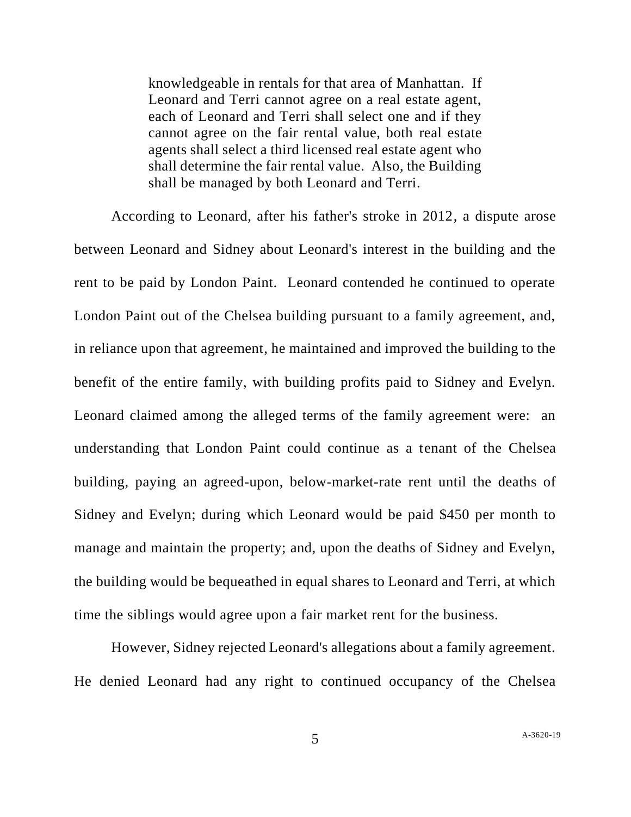knowledgeable in rentals for that area of Manhattan. If Leonard and Terri cannot agree on a real estate agent, each of Leonard and Terri shall select one and if they cannot agree on the fair rental value, both real estate agents shall select a third licensed real estate agent who shall determine the fair rental value. Also, the Building shall be managed by both Leonard and Terri.

According to Leonard, after his father's stroke in 2012, a dispute arose between Leonard and Sidney about Leonard's interest in the building and the rent to be paid by London Paint. Leonard contended he continued to operate London Paint out of the Chelsea building pursuant to a family agreement, and, in reliance upon that agreement, he maintained and improved the building to the benefit of the entire family, with building profits paid to Sidney and Evelyn. Leonard claimed among the alleged terms of the family agreement were: an understanding that London Paint could continue as a tenant of the Chelsea building, paying an agreed-upon, below-market-rate rent until the deaths of Sidney and Evelyn; during which Leonard would be paid \$450 per month to manage and maintain the property; and, upon the deaths of Sidney and Evelyn, the building would be bequeathed in equal shares to Leonard and Terri, at which time the siblings would agree upon a fair market rent for the business.

However, Sidney rejected Leonard's allegations about a family agreement. He denied Leonard had any right to continued occupancy of the Chelsea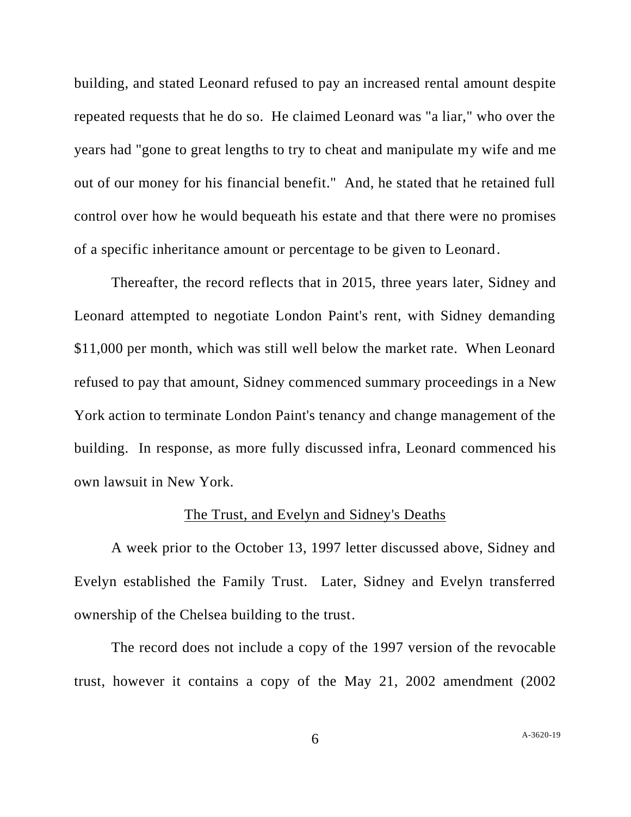building, and stated Leonard refused to pay an increased rental amount despite repeated requests that he do so. He claimed Leonard was "a liar," who over the years had "gone to great lengths to try to cheat and manipulate my wife and me out of our money for his financial benefit." And, he stated that he retained full control over how he would bequeath his estate and that there were no promises of a specific inheritance amount or percentage to be given to Leonard.

Thereafter, the record reflects that in 2015, three years later, Sidney and Leonard attempted to negotiate London Paint's rent, with Sidney demanding \$11,000 per month, which was still well below the market rate. When Leonard refused to pay that amount, Sidney commenced summary proceedings in a New York action to terminate London Paint's tenancy and change management of the building. In response, as more fully discussed infra, Leonard commenced his own lawsuit in New York.

#### The Trust, and Evelyn and Sidney's Deaths

A week prior to the October 13, 1997 letter discussed above, Sidney and Evelyn established the Family Trust. Later, Sidney and Evelyn transferred ownership of the Chelsea building to the trust.

The record does not include a copy of the 1997 version of the revocable trust, however it contains a copy of the May 21, 2002 amendment (2002

6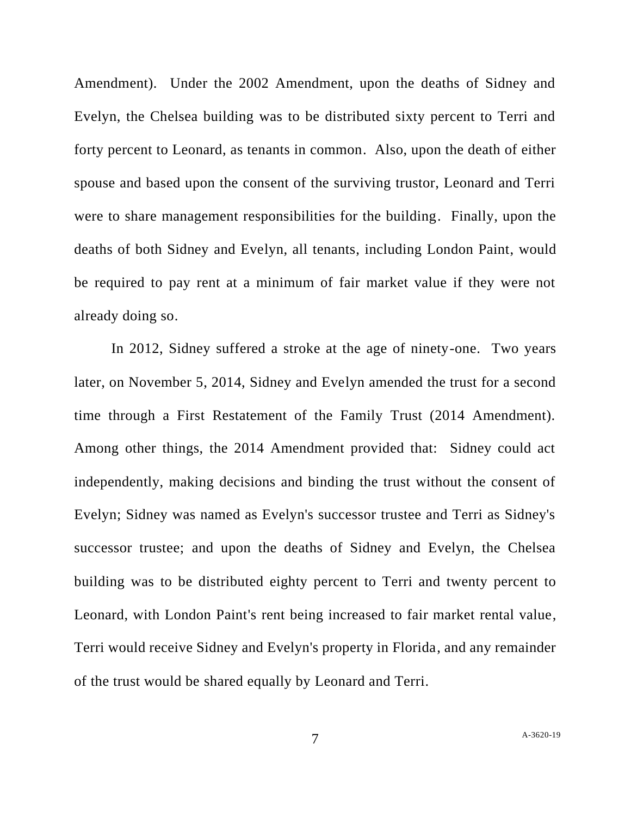Amendment). Under the 2002 Amendment, upon the deaths of Sidney and Evelyn, the Chelsea building was to be distributed sixty percent to Terri and forty percent to Leonard, as tenants in common. Also, upon the death of either spouse and based upon the consent of the surviving trustor, Leonard and Terri were to share management responsibilities for the building. Finally, upon the deaths of both Sidney and Evelyn, all tenants, including London Paint, would be required to pay rent at a minimum of fair market value if they were not already doing so.

In 2012, Sidney suffered a stroke at the age of ninety-one. Two years later, on November 5, 2014, Sidney and Evelyn amended the trust for a second time through a First Restatement of the Family Trust (2014 Amendment). Among other things, the 2014 Amendment provided that: Sidney could act independently, making decisions and binding the trust without the consent of Evelyn; Sidney was named as Evelyn's successor trustee and Terri as Sidney's successor trustee; and upon the deaths of Sidney and Evelyn, the Chelsea building was to be distributed eighty percent to Terri and twenty percent to Leonard, with London Paint's rent being increased to fair market rental value, Terri would receive Sidney and Evelyn's property in Florida, and any remainder of the trust would be shared equally by Leonard and Terri.

7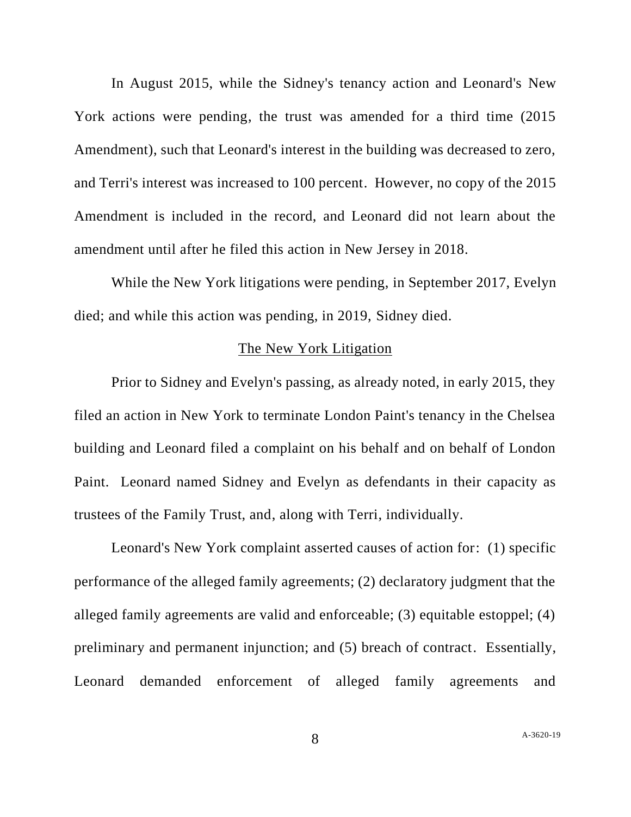In August 2015, while the Sidney's tenancy action and Leonard's New York actions were pending, the trust was amended for a third time (2015 Amendment), such that Leonard's interest in the building was decreased to zero, and Terri's interest was increased to 100 percent. However, no copy of the 2015 Amendment is included in the record, and Leonard did not learn about the amendment until after he filed this action in New Jersey in 2018.

While the New York litigations were pending, in September 2017, Evelyn died; and while this action was pending, in 2019, Sidney died.

#### The New York Litigation

Prior to Sidney and Evelyn's passing, as already noted, in early 2015, they filed an action in New York to terminate London Paint's tenancy in the Chelsea building and Leonard filed a complaint on his behalf and on behalf of London Paint. Leonard named Sidney and Evelyn as defendants in their capacity as trustees of the Family Trust, and, along with Terri, individually.

Leonard's New York complaint asserted causes of action for: (1) specific performance of the alleged family agreements; (2) declaratory judgment that the alleged family agreements are valid and enforceable; (3) equitable estoppel; (4) preliminary and permanent injunction; and (5) breach of contract. Essentially, Leonard demanded enforcement of alleged family agreements and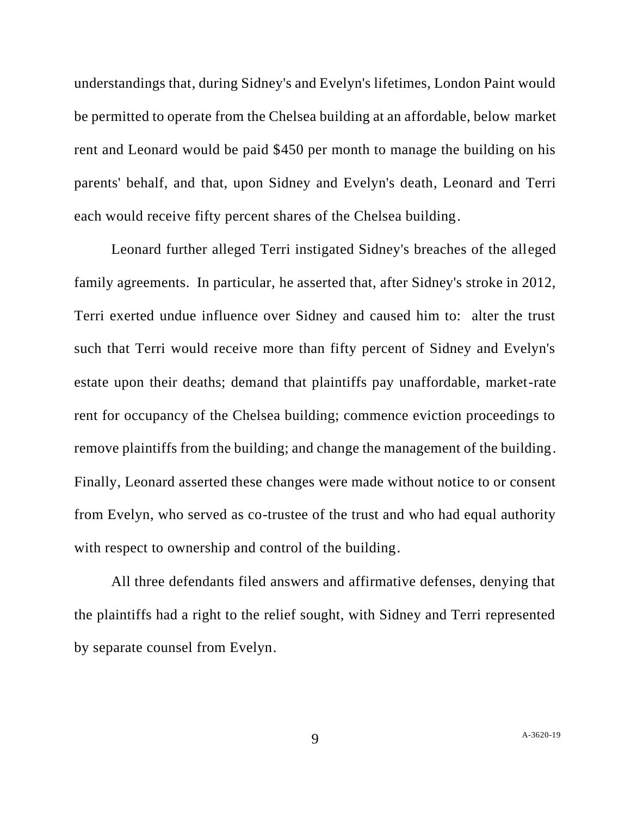understandings that, during Sidney's and Evelyn's lifetimes, London Paint would be permitted to operate from the Chelsea building at an affordable, below market rent and Leonard would be paid \$450 per month to manage the building on his parents' behalf, and that, upon Sidney and Evelyn's death, Leonard and Terri each would receive fifty percent shares of the Chelsea building.

Leonard further alleged Terri instigated Sidney's breaches of the alleged family agreements. In particular, he asserted that, after Sidney's stroke in 2012, Terri exerted undue influence over Sidney and caused him to: alter the trust such that Terri would receive more than fifty percent of Sidney and Evelyn's estate upon their deaths; demand that plaintiffs pay unaffordable, market-rate rent for occupancy of the Chelsea building; commence eviction proceedings to remove plaintiffs from the building; and change the management of the building. Finally, Leonard asserted these changes were made without notice to or consent from Evelyn, who served as co-trustee of the trust and who had equal authority with respect to ownership and control of the building.

All three defendants filed answers and affirmative defenses, denying that the plaintiffs had a right to the relief sought, with Sidney and Terri represented by separate counsel from Evelyn.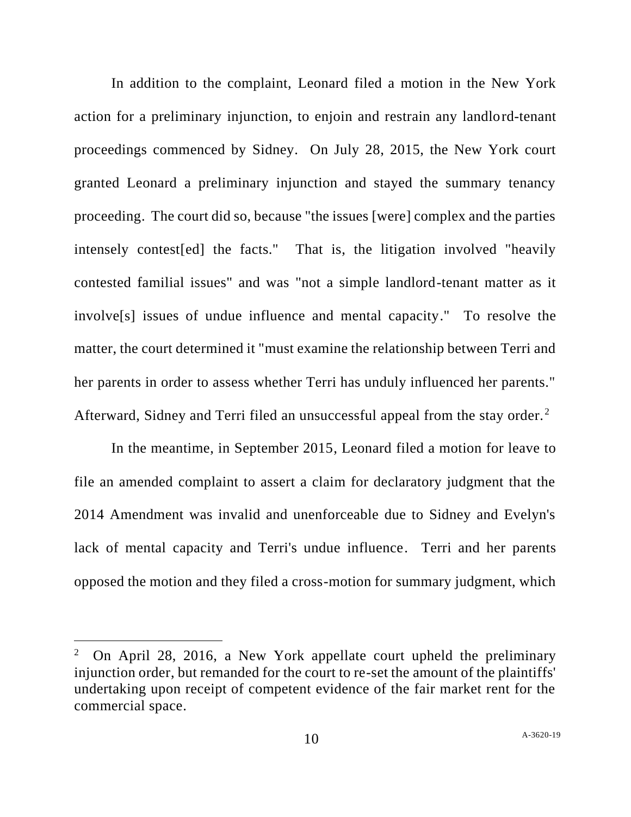In addition to the complaint, Leonard filed a motion in the New York action for a preliminary injunction, to enjoin and restrain any landlord-tenant proceedings commenced by Sidney. On July 28, 2015, the New York court granted Leonard a preliminary injunction and stayed the summary tenancy proceeding. The court did so, because "the issues [were] complex and the parties intensely contest[ed] the facts." That is, the litigation involved "heavily contested familial issues" and was "not a simple landlord-tenant matter as it involve[s] issues of undue influence and mental capacity." To resolve the matter, the court determined it "must examine the relationship between Terri and her parents in order to assess whether Terri has unduly influenced her parents." Afterward, Sidney and Terri filed an unsuccessful appeal from the stay order.<sup>2</sup>

In the meantime, in September 2015, Leonard filed a motion for leave to file an amended complaint to assert a claim for declaratory judgment that the 2014 Amendment was invalid and unenforceable due to Sidney and Evelyn's lack of mental capacity and Terri's undue influence. Terri and her parents opposed the motion and they filed a cross-motion for summary judgment, which

<sup>2</sup> On April 28, 2016, a New York appellate court upheld the preliminary injunction order, but remanded for the court to re-set the amount of the plaintiffs' undertaking upon receipt of competent evidence of the fair market rent for the commercial space.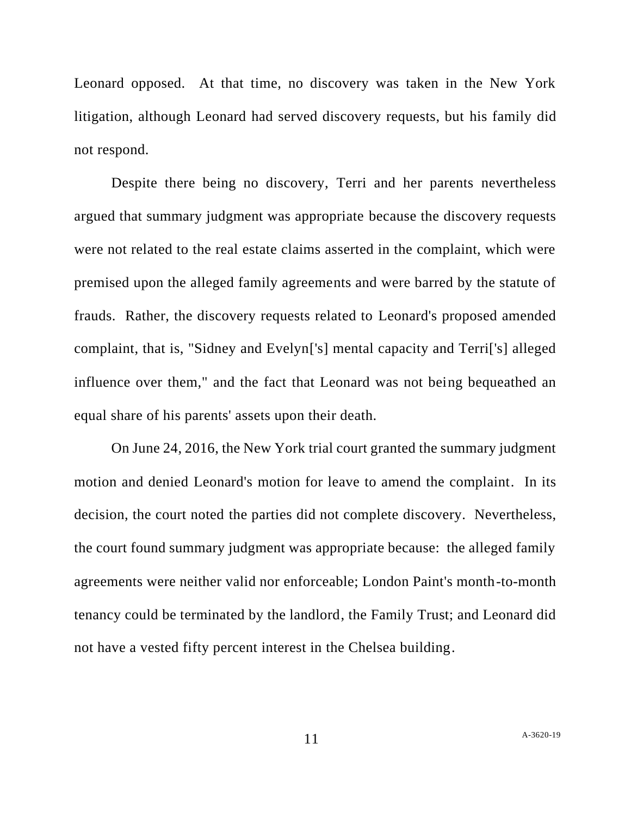Leonard opposed. At that time, no discovery was taken in the New York litigation, although Leonard had served discovery requests, but his family did not respond.

Despite there being no discovery, Terri and her parents nevertheless argued that summary judgment was appropriate because the discovery requests were not related to the real estate claims asserted in the complaint, which were premised upon the alleged family agreements and were barred by the statute of frauds. Rather, the discovery requests related to Leonard's proposed amended complaint, that is, "Sidney and Evelyn['s] mental capacity and Terri['s] alleged influence over them," and the fact that Leonard was not being bequeathed an equal share of his parents' assets upon their death.

On June 24, 2016, the New York trial court granted the summary judgment motion and denied Leonard's motion for leave to amend the complaint. In its decision, the court noted the parties did not complete discovery. Nevertheless, the court found summary judgment was appropriate because: the alleged family agreements were neither valid nor enforceable; London Paint's month-to-month tenancy could be terminated by the landlord, the Family Trust; and Leonard did not have a vested fifty percent interest in the Chelsea building.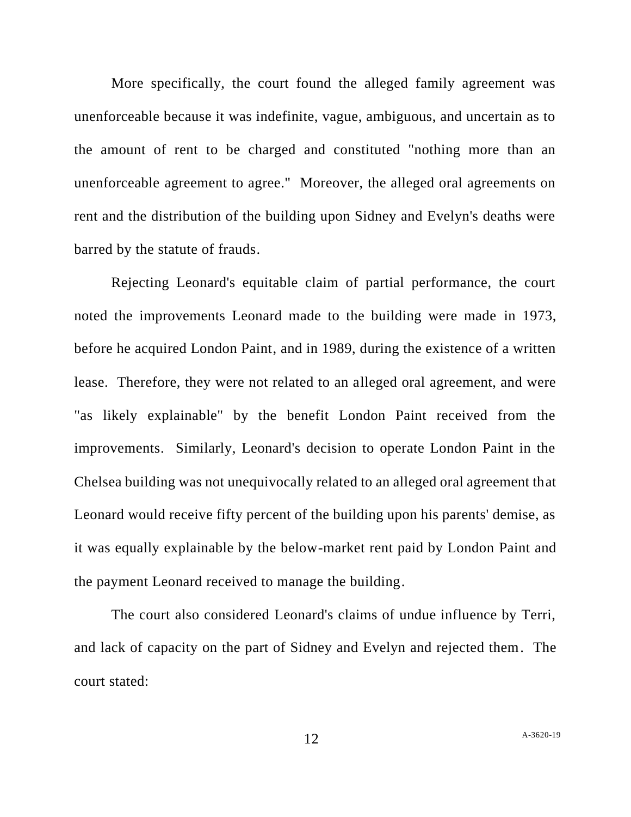More specifically, the court found the alleged family agreement was unenforceable because it was indefinite, vague, ambiguous, and uncertain as to the amount of rent to be charged and constituted "nothing more than an unenforceable agreement to agree." Moreover, the alleged oral agreements on rent and the distribution of the building upon Sidney and Evelyn's deaths were barred by the statute of frauds.

Rejecting Leonard's equitable claim of partial performance, the court noted the improvements Leonard made to the building were made in 1973, before he acquired London Paint, and in 1989, during the existence of a written lease. Therefore, they were not related to an alleged oral agreement, and were "as likely explainable" by the benefit London Paint received from the improvements. Similarly, Leonard's decision to operate London Paint in the Chelsea building was not unequivocally related to an alleged oral agreement that Leonard would receive fifty percent of the building upon his parents' demise, as it was equally explainable by the below-market rent paid by London Paint and the payment Leonard received to manage the building.

The court also considered Leonard's claims of undue influence by Terri, and lack of capacity on the part of Sidney and Evelyn and rejected them. The court stated: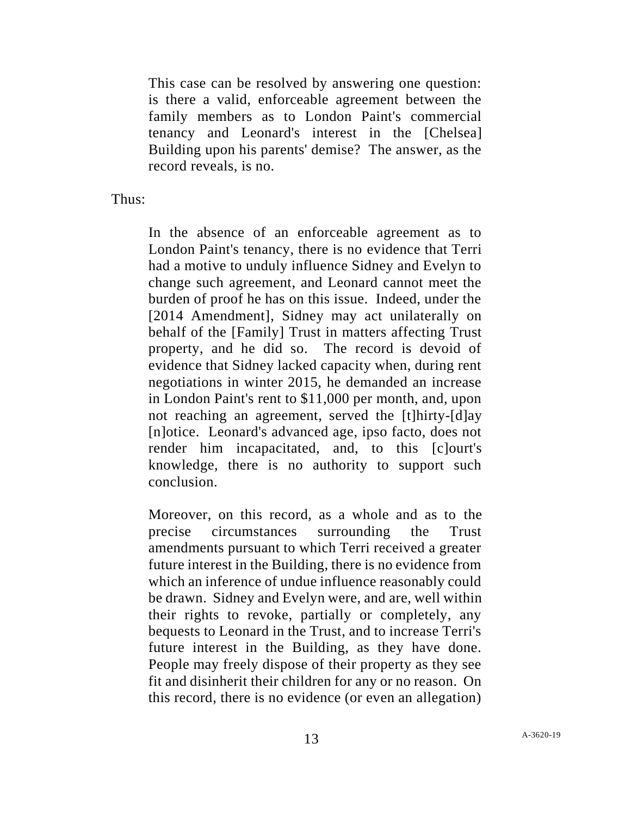This case can be resolved by answering one question: is there a valid, enforceable agreement between the family members as to London Paint's commercial tenancy and Leonard's interest in the [Chelsea] Building upon his parents' demise? The answer, as the record reveals, is no.

Thus:

In the absence of an enforceable agreement as to London Paint's tenancy, there is no evidence that Terri had a motive to unduly influence Sidney and Evelyn to change such agreement, and Leonard cannot meet the burden of proof he has on this issue. Indeed, under the [2014 Amendment], Sidney may act unilaterally on behalf of the [Family] Trust in matters affecting Trust property, and he did so. The record is devoid of evidence that Sidney lacked capacity when, during rent negotiations in winter 2015, he demanded an increase in London Paint's rent to \$11,000 per month, and, upon not reaching an agreement, served the [t]hirty-[d]ay [n]otice. Leonard's advanced age, ipso facto, does not render him incapacitated, and, to this [c]ourt's knowledge, there is no authority to support such conclusion.

Moreover, on this record, as a whole and as to the precise circumstances surrounding the Trust amendments pursuant to which Terri received a greater future interest in the Building, there is no evidence from which an inference of undue influence reasonably could be drawn. Sidney and Evelyn were, and are, well within their rights to revoke, partially or completely, any bequests to Leonard in the Trust, and to increase Terri's future interest in the Building, as they have done. People may freely dispose of their property as they see fit and disinherit their children for any or no reason. On this record, there is no evidence (or even an allegation)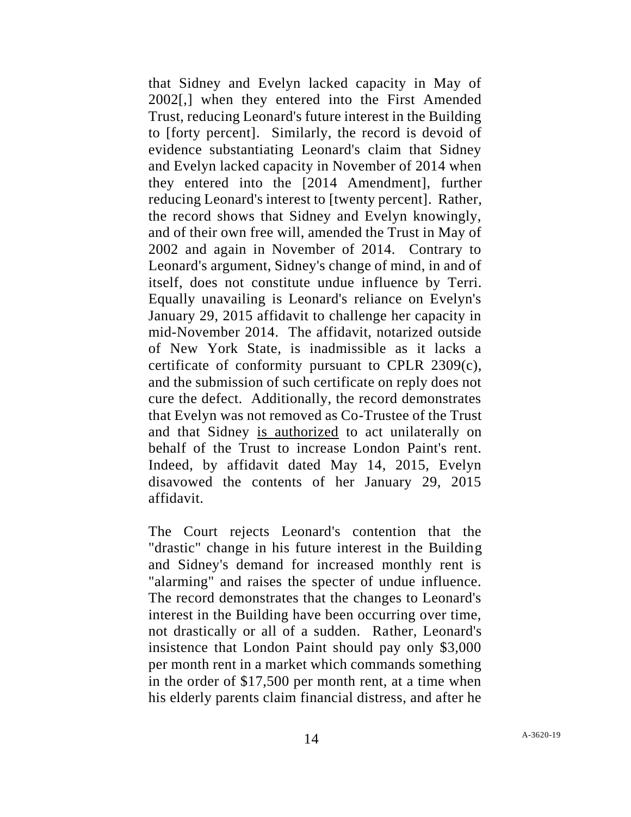that Sidney and Evelyn lacked capacity in May of 2002[,] when they entered into the First Amended Trust, reducing Leonard's future interest in the Building to [forty percent]. Similarly, the record is devoid of evidence substantiating Leonard's claim that Sidney and Evelyn lacked capacity in November of 2014 when they entered into the [2014 Amendment], further reducing Leonard's interest to [twenty percent]. Rather, the record shows that Sidney and Evelyn knowingly, and of their own free will, amended the Trust in May of 2002 and again in November of 2014. Contrary to Leonard's argument, Sidney's change of mind, in and of itself, does not constitute undue influence by Terri. Equally unavailing is Leonard's reliance on Evelyn's January 29, 2015 affidavit to challenge her capacity in mid-November 2014. The affidavit, notarized outside of New York State, is inadmissible as it lacks a certificate of conformity pursuant to CPLR 2309(c), and the submission of such certificate on reply does not cure the defect. Additionally, the record demonstrates that Evelyn was not removed as Co-Trustee of the Trust and that Sidney is authorized to act unilaterally on behalf of the Trust to increase London Paint's rent. Indeed, by affidavit dated May 14, 2015, Evelyn disavowed the contents of her January 29, 2015 affidavit.

The Court rejects Leonard's contention that the "drastic" change in his future interest in the Building and Sidney's demand for increased monthly rent is "alarming" and raises the specter of undue influence. The record demonstrates that the changes to Leonard's interest in the Building have been occurring over time, not drastically or all of a sudden. Rather, Leonard's insistence that London Paint should pay only \$3,000 per month rent in a market which commands something in the order of \$17,500 per month rent, at a time when his elderly parents claim financial distress, and after he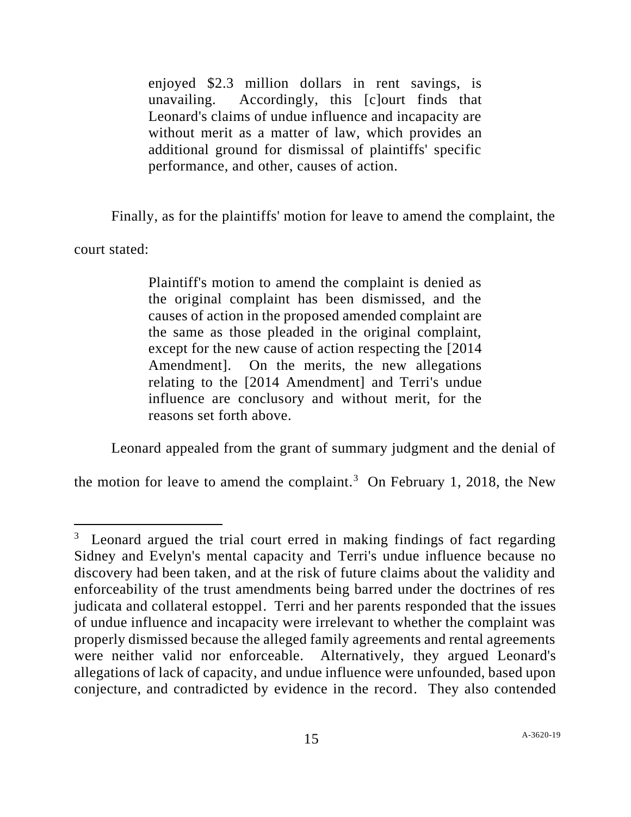enjoyed \$2.3 million dollars in rent savings, is unavailing. Accordingly, this [c]ourt finds that Leonard's claims of undue influence and incapacity are without merit as a matter of law, which provides an additional ground for dismissal of plaintiffs' specific performance, and other, causes of action.

Finally, as for the plaintiffs' motion for leave to amend the complaint, the

court stated:

Plaintiff's motion to amend the complaint is denied as the original complaint has been dismissed, and the causes of action in the proposed amended complaint are the same as those pleaded in the original complaint, except for the new cause of action respecting the [2014 Amendment]. On the merits, the new allegations relating to the [2014 Amendment] and Terri's undue influence are conclusory and without merit, for the reasons set forth above.

Leonard appealed from the grant of summary judgment and the denial of

the motion for leave to amend the complaint.<sup>3</sup> On February 1, 2018, the New

<sup>&</sup>lt;sup>3</sup> Leonard argued the trial court erred in making findings of fact regarding Sidney and Evelyn's mental capacity and Terri's undue influence because no discovery had been taken, and at the risk of future claims about the validity and enforceability of the trust amendments being barred under the doctrines of res judicata and collateral estoppel. Terri and her parents responded that the issues of undue influence and incapacity were irrelevant to whether the complaint was properly dismissed because the alleged family agreements and rental agreements were neither valid nor enforceable. Alternatively, they argued Leonard's allegations of lack of capacity, and undue influence were unfounded, based upon conjecture, and contradicted by evidence in the record. They also contended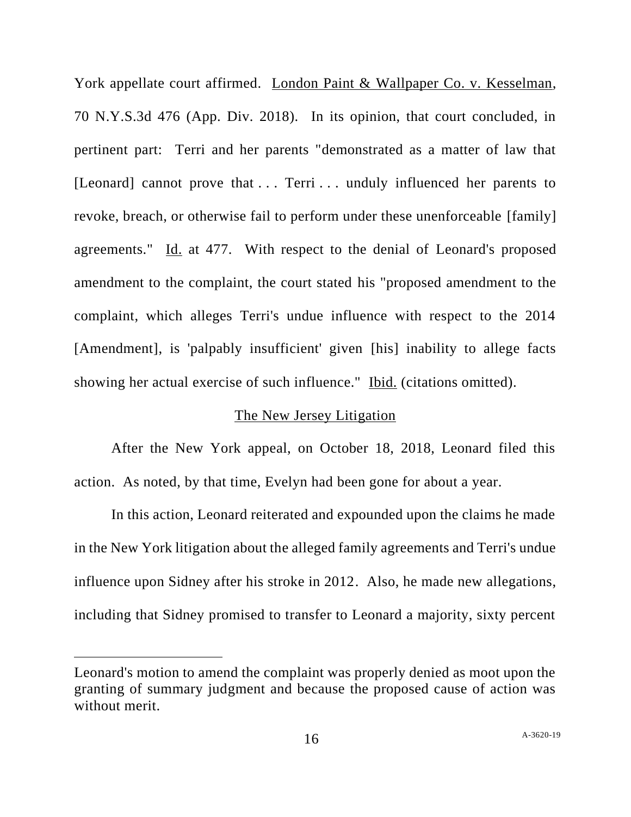York appellate court affirmed. London Paint & Wallpaper Co. v. Kesselman, 70 N.Y.S.3d 476 (App. Div. 2018). In its opinion, that court concluded, in pertinent part: Terri and her parents "demonstrated as a matter of law that [Leonard] cannot prove that ... Terri ... unduly influenced her parents to revoke, breach, or otherwise fail to perform under these unenforceable [family] agreements." Id. at 477. With respect to the denial of Leonard's proposed amendment to the complaint, the court stated his "proposed amendment to the complaint, which alleges Terri's undue influence with respect to the 2014 [Amendment], is 'palpably insufficient' given [his] inability to allege facts showing her actual exercise of such influence." Ibid. (citations omitted).

## The New Jersey Litigation

After the New York appeal, on October 18, 2018, Leonard filed this action. As noted, by that time, Evelyn had been gone for about a year.

In this action, Leonard reiterated and expounded upon the claims he made in the New York litigation about the alleged family agreements and Terri's undue influence upon Sidney after his stroke in 2012. Also, he made new allegations, including that Sidney promised to transfer to Leonard a majority, sixty percent

Leonard's motion to amend the complaint was properly denied as moot upon the granting of summary judgment and because the proposed cause of action was without merit.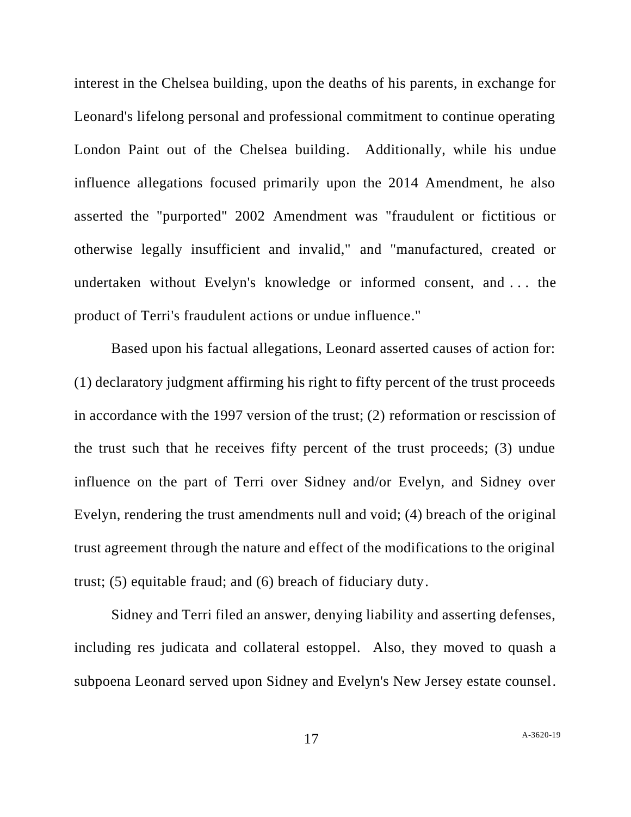interest in the Chelsea building, upon the deaths of his parents, in exchange for Leonard's lifelong personal and professional commitment to continue operating London Paint out of the Chelsea building. Additionally, while his undue influence allegations focused primarily upon the 2014 Amendment, he also asserted the "purported" 2002 Amendment was "fraudulent or fictitious or otherwise legally insufficient and invalid," and "manufactured, created or undertaken without Evelyn's knowledge or informed consent, and . . . the product of Terri's fraudulent actions or undue influence."

Based upon his factual allegations, Leonard asserted causes of action for: (1) declaratory judgment affirming his right to fifty percent of the trust proceeds in accordance with the 1997 version of the trust; (2) reformation or rescission of the trust such that he receives fifty percent of the trust proceeds; (3) undue influence on the part of Terri over Sidney and/or Evelyn, and Sidney over Evelyn, rendering the trust amendments null and void; (4) breach of the original trust agreement through the nature and effect of the modifications to the original trust; (5) equitable fraud; and (6) breach of fiduciary duty.

Sidney and Terri filed an answer, denying liability and asserting defenses, including res judicata and collateral estoppel. Also, they moved to quash a subpoena Leonard served upon Sidney and Evelyn's New Jersey estate counsel.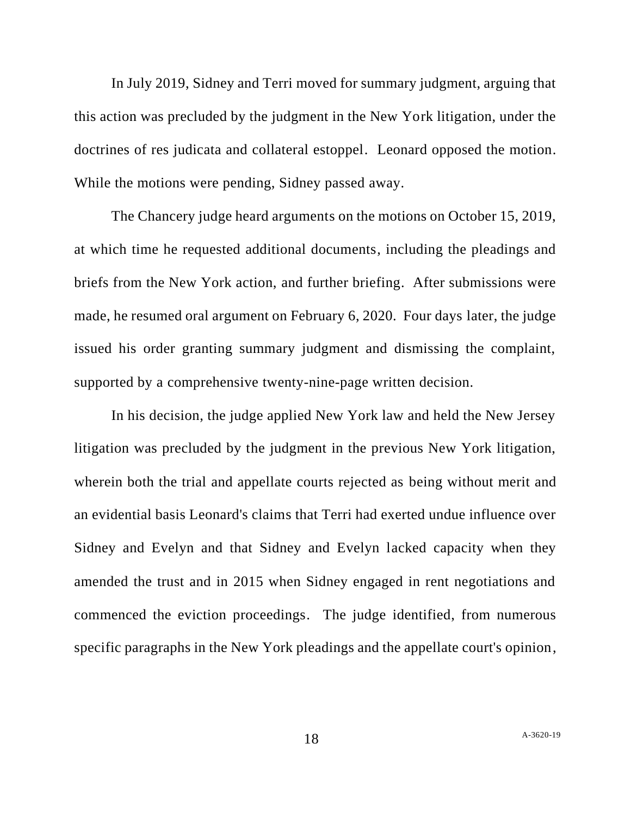In July 2019, Sidney and Terri moved for summary judgment, arguing that this action was precluded by the judgment in the New York litigation, under the doctrines of res judicata and collateral estoppel. Leonard opposed the motion. While the motions were pending, Sidney passed away.

The Chancery judge heard arguments on the motions on October 15, 2019, at which time he requested additional documents, including the pleadings and briefs from the New York action, and further briefing. After submissions were made, he resumed oral argument on February 6, 2020. Four days later, the judge issued his order granting summary judgment and dismissing the complaint, supported by a comprehensive twenty-nine-page written decision.

In his decision, the judge applied New York law and held the New Jersey litigation was precluded by the judgment in the previous New York litigation, wherein both the trial and appellate courts rejected as being without merit and an evidential basis Leonard's claims that Terri had exerted undue influence over Sidney and Evelyn and that Sidney and Evelyn lacked capacity when they amended the trust and in 2015 when Sidney engaged in rent negotiations and commenced the eviction proceedings. The judge identified, from numerous specific paragraphs in the New York pleadings and the appellate court's opinion,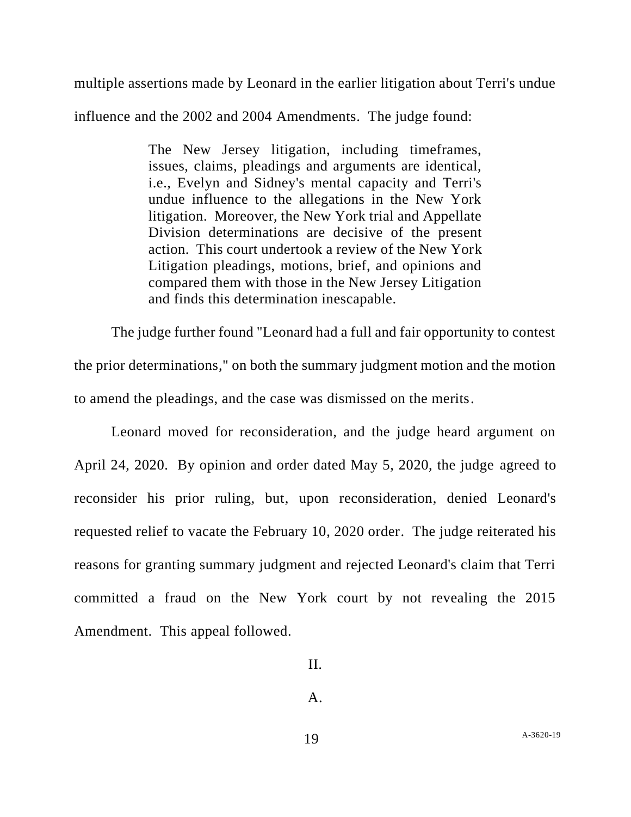multiple assertions made by Leonard in the earlier litigation about Terri's undue

influence and the 2002 and 2004 Amendments. The judge found:

The New Jersey litigation, including timeframes, issues, claims, pleadings and arguments are identical, i.e., Evelyn and Sidney's mental capacity and Terri's undue influence to the allegations in the New York litigation. Moreover, the New York trial and Appellate Division determinations are decisive of the present action. This court undertook a review of the New York Litigation pleadings, motions, brief, and opinions and compared them with those in the New Jersey Litigation and finds this determination inescapable.

The judge further found "Leonard had a full and fair opportunity to contest the prior determinations," on both the summary judgment motion and the motion to amend the pleadings, and the case was dismissed on the merits.

Leonard moved for reconsideration, and the judge heard argument on April 24, 2020. By opinion and order dated May 5, 2020, the judge agreed to reconsider his prior ruling, but, upon reconsideration, denied Leonard's requested relief to vacate the February 10, 2020 order. The judge reiterated his reasons for granting summary judgment and rejected Leonard's claim that Terri committed a fraud on the New York court by not revealing the 2015 Amendment. This appeal followed.

A.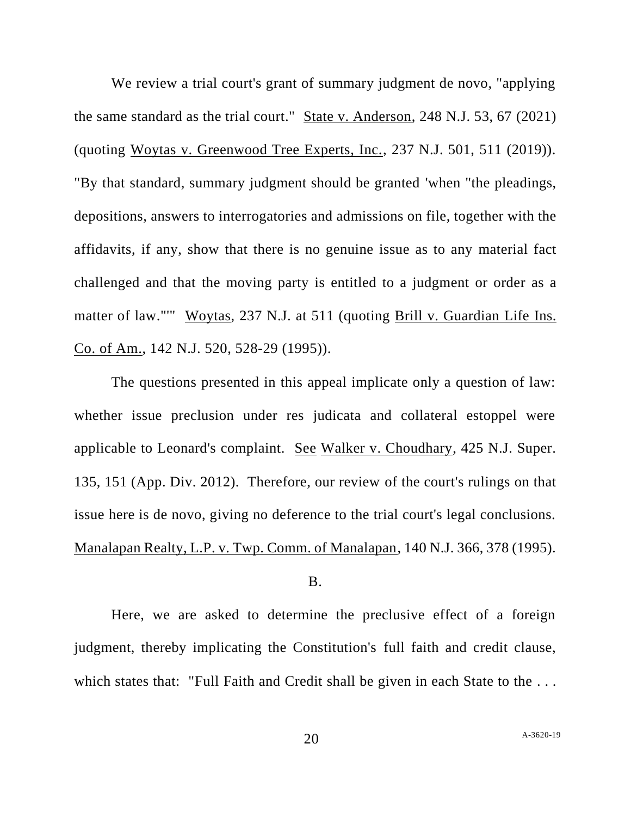We review a trial court's grant of summary judgment de novo, "applying" the same standard as the trial court." State v. Anderson, 248 N.J. 53, 67 (2021) (quoting Woytas v. Greenwood Tree Experts, Inc., 237 N.J. 501, 511 (2019)). "By that standard, summary judgment should be granted 'when "the pleadings, depositions, answers to interrogatories and admissions on file, together with the affidavits, if any, show that there is no genuine issue as to any material fact challenged and that the moving party is entitled to a judgment or order as a matter of law."'" Woytas, 237 N.J. at 511 (quoting Brill v. Guardian Life Ins. Co. of Am., 142 N.J. 520, 528-29 (1995)).

The questions presented in this appeal implicate only a question of law: whether issue preclusion under res judicata and collateral estoppel were applicable to Leonard's complaint. See Walker v. Choudhary, 425 N.J. Super. 135, 151 (App. Div. 2012). Therefore, our review of the court's rulings on that issue here is de novo, giving no deference to the trial court's legal conclusions. Manalapan Realty, L.P. v. Twp. Comm. of Manalapan, 140 N.J. 366, 378 (1995).

### B.

Here, we are asked to determine the preclusive effect of a foreign judgment, thereby implicating the Constitution's full faith and credit clause, which states that: "Full Faith and Credit shall be given in each State to the ...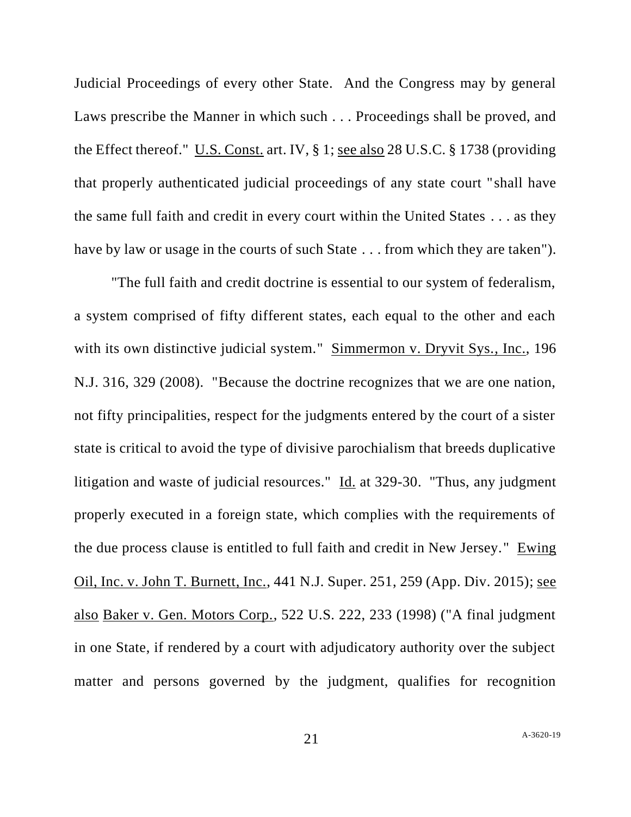Judicial Proceedings of every other State. And the Congress may by general Laws prescribe the Manner in which such . . . Proceedings shall be proved, and the Effect thereof." U.S. Const. art. IV, § 1; see also 28 U.S.C. § 1738 (providing that properly authenticated judicial proceedings of any state court "shall have the same full faith and credit in every court within the United States . . . as they have by law or usage in the courts of such State . . . from which they are taken").

"The full faith and credit doctrine is essential to our system of federalism, a system comprised of fifty different states, each equal to the other and each with its own distinctive judicial system." Simmermon v. Dryvit Sys., Inc., 196 N.J. 316, 329 (2008). "Because the doctrine recognizes that we are one nation, not fifty principalities, respect for the judgments entered by the court of a sister state is critical to avoid the type of divisive parochialism that breeds duplicative litigation and waste of judicial resources." Id. at 329-30. "Thus, any judgment properly executed in a foreign state, which complies with the requirements of the due process clause is entitled to full faith and credit in New Jersey." Ewing Oil, Inc. v. John T. Burnett, Inc., 441 N.J. Super. 251, 259 (App. Div. 2015); see also Baker v. Gen. Motors Corp., 522 U.S. 222, 233 (1998) ("A final judgment in one State, if rendered by a court with adjudicatory authority over the subject matter and persons governed by the judgment, qualifies for recognition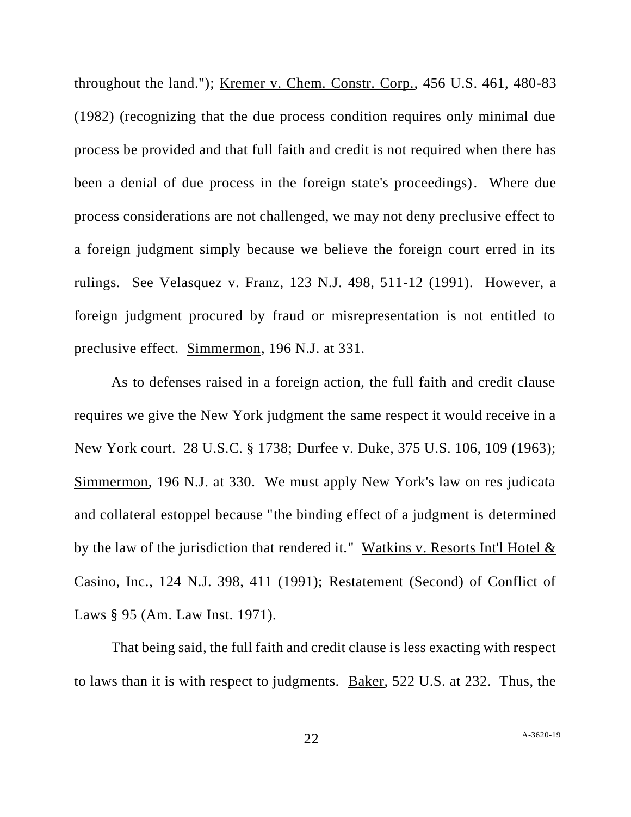throughout the land."); Kremer v. Chem. Constr. Corp., 456 U.S. 461, 480-83 (1982) (recognizing that the due process condition requires only minimal due process be provided and that full faith and credit is not required when there has been a denial of due process in the foreign state's proceedings). Where due process considerations are not challenged, we may not deny preclusive effect to a foreign judgment simply because we believe the foreign court erred in its rulings. See Velasquez v. Franz, 123 N.J. 498, 511-12 (1991). However, a foreign judgment procured by fraud or misrepresentation is not entitled to preclusive effect. Simmermon, 196 N.J. at 331.

As to defenses raised in a foreign action, the full faith and credit clause requires we give the New York judgment the same respect it would receive in a New York court. 28 U.S.C. § 1738; Durfee v. Duke, 375 U.S. 106, 109 (1963); Simmermon, 196 N.J. at 330. We must apply New York's law on res judicata and collateral estoppel because "the binding effect of a judgment is determined by the law of the jurisdiction that rendered it." Watkins v. Resorts Int'l Hotel  $\&$ Casino, Inc., 124 N.J. 398, 411 (1991); Restatement (Second) of Conflict of Laws § 95 (Am. Law Inst. 1971).

That being said, the full faith and credit clause is less exacting with respect to laws than it is with respect to judgments. Baker, 522 U.S. at 232. Thus, the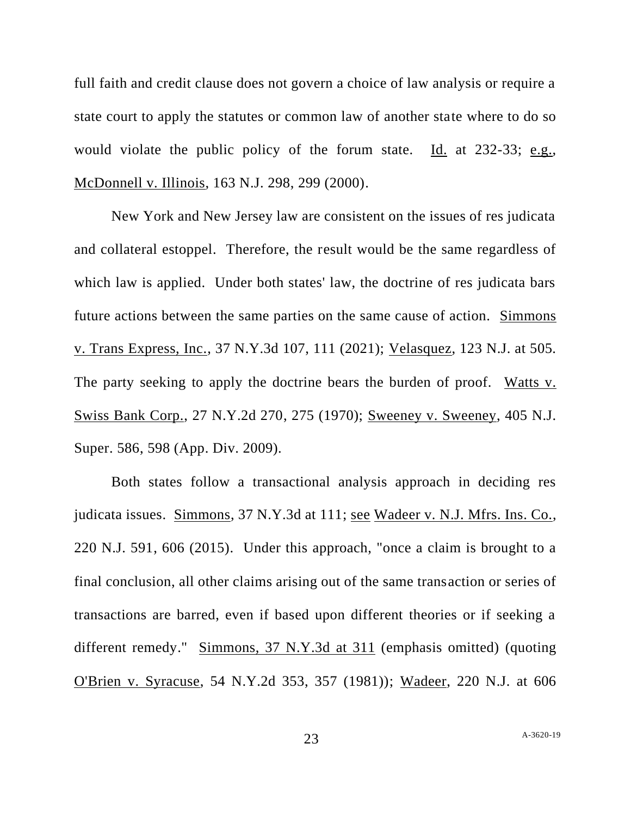full faith and credit clause does not govern a choice of law analysis or require a state court to apply the statutes or common law of another state where to do so would violate the public policy of the forum state. Id. at 232-33; e.g., McDonnell v. Illinois, 163 N.J. 298, 299 (2000).

New York and New Jersey law are consistent on the issues of res judicata and collateral estoppel. Therefore, the result would be the same regardless of which law is applied. Under both states' law, the doctrine of res judicata bars future actions between the same parties on the same cause of action. Simmons v. Trans Express, Inc., 37 N.Y.3d 107, 111 (2021); Velasquez, 123 N.J. at 505. The party seeking to apply the doctrine bears the burden of proof. Watts v. Swiss Bank Corp., 27 N.Y.2d 270, 275 (1970); Sweeney v. Sweeney, 405 N.J. Super. 586, 598 (App. Div. 2009).

Both states follow a transactional analysis approach in deciding res judicata issues. Simmons, 37 N.Y.3d at 111; see Wadeer v. N.J. Mfrs. Ins. Co., 220 N.J. 591, 606 (2015). Under this approach, "once a claim is brought to a final conclusion, all other claims arising out of the same transaction or series of transactions are barred, even if based upon different theories or if seeking a different remedy." Simmons, 37 N.Y.3d at 311 (emphasis omitted) (quoting O'Brien v. Syracuse, 54 N.Y.2d 353, 357 (1981)); Wadeer, 220 N.J. at 606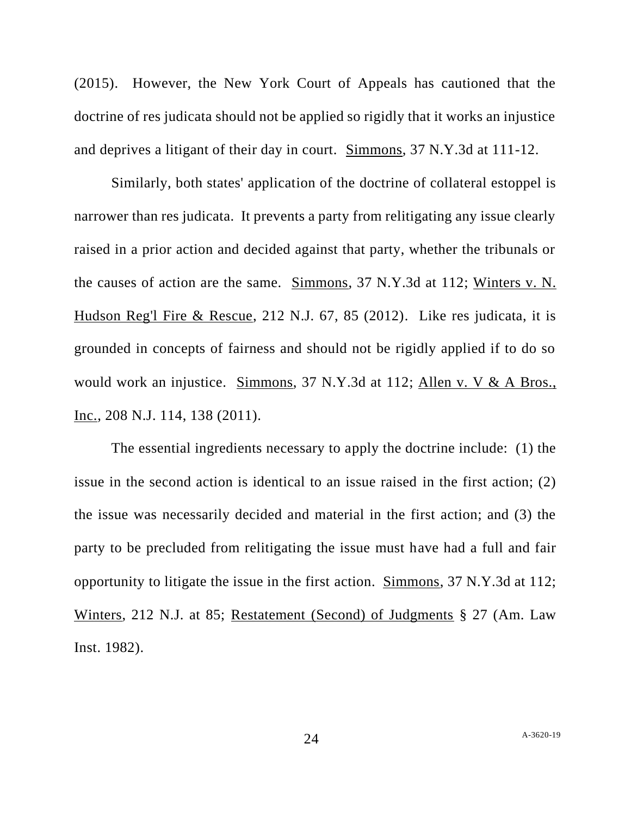(2015). However, the New York Court of Appeals has cautioned that the doctrine of res judicata should not be applied so rigidly that it works an injustice and deprives a litigant of their day in court. Simmons, 37 N.Y.3d at 111-12.

Similarly, both states' application of the doctrine of collateral estoppel is narrower than res judicata. It prevents a party from relitigating any issue clearly raised in a prior action and decided against that party, whether the tribunals or the causes of action are the same. Simmons, 37 N.Y.3d at 112; Winters v. N. Hudson Reg'l Fire & Rescue, 212 N.J. 67, 85 (2012). Like res judicata, it is grounded in concepts of fairness and should not be rigidly applied if to do so would work an injustice. Simmons, 37 N.Y.3d at 112; Allen v. V & A Bros., Inc., 208 N.J. 114, 138 (2011).

The essential ingredients necessary to apply the doctrine include: (1) the issue in the second action is identical to an issue raised in the first action; (2) the issue was necessarily decided and material in the first action; and (3) the party to be precluded from relitigating the issue must have had a full and fair opportunity to litigate the issue in the first action. Simmons, 37 N.Y.3d at 112; Winters, 212 N.J. at 85; Restatement (Second) of Judgments § 27 (Am. Law Inst. 1982).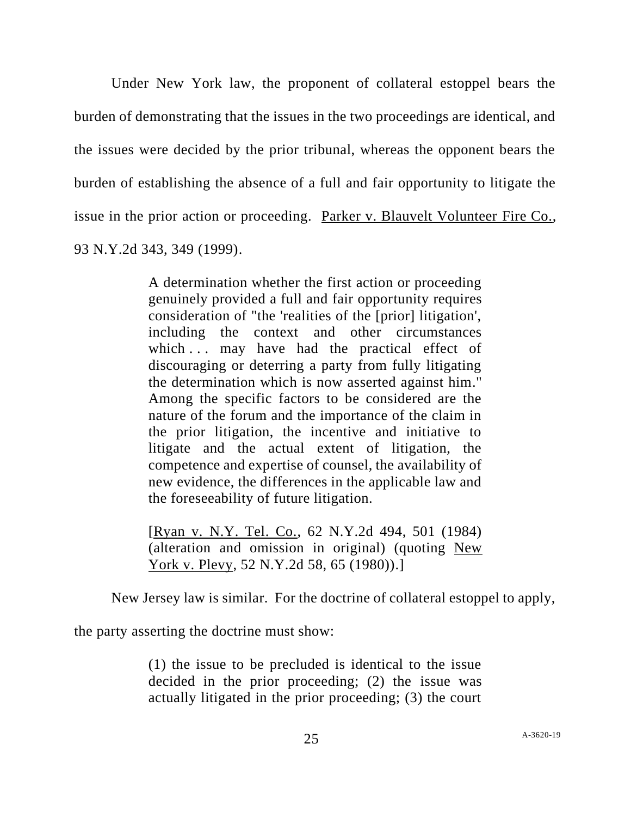Under New York law, the proponent of collateral estoppel bears the burden of demonstrating that the issues in the two proceedings are identical, and the issues were decided by the prior tribunal, whereas the opponent bears the burden of establishing the absence of a full and fair opportunity to litigate the issue in the prior action or proceeding. Parker v. Blauvelt Volunteer Fire Co., 93 N.Y.2d 343, 349 (1999).

> A determination whether the first action or proceeding genuinely provided a full and fair opportunity requires consideration of "the 'realities of the [prior] litigation', including the context and other circumstances which ... may have had the practical effect of discouraging or deterring a party from fully litigating the determination which is now asserted against him." Among the specific factors to be considered are the nature of the forum and the importance of the claim in the prior litigation, the incentive and initiative to litigate and the actual extent of litigation, the competence and expertise of counsel, the availability of new evidence, the differences in the applicable law and the foreseeability of future litigation.

> [Ryan v. N.Y. Tel. Co., 62 N.Y.2d 494, 501 (1984) (alteration and omission in original) (quoting New York v. Plevy, 52 N.Y.2d 58, 65 (1980)).]

New Jersey law is similar. For the doctrine of collateral estoppel to apply,

the party asserting the doctrine must show:

(1) the issue to be precluded is identical to the issue decided in the prior proceeding; (2) the issue was actually litigated in the prior proceeding; (3) the court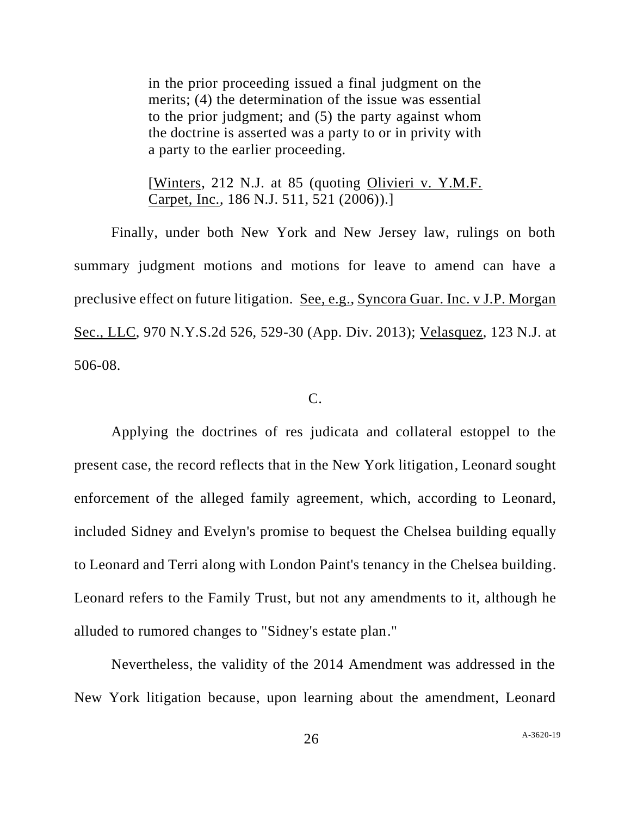in the prior proceeding issued a final judgment on the merits; (4) the determination of the issue was essential to the prior judgment; and (5) the party against whom the doctrine is asserted was a party to or in privity with a party to the earlier proceeding.

[Winters, 212 N.J. at 85 (quoting Olivieri v. Y.M.F. Carpet, Inc., 186 N.J. 511, 521 (2006)).]

Finally, under both New York and New Jersey law, rulings on both summary judgment motions and motions for leave to amend can have a preclusive effect on future litigation. See, e.g., Syncora Guar. Inc. v J.P. Morgan Sec., LLC, 970 N.Y.S.2d 526, 529-30 (App. Div. 2013); Velasquez, 123 N.J. at 506-08.

### C.

Applying the doctrines of res judicata and collateral estoppel to the present case, the record reflects that in the New York litigation, Leonard sought enforcement of the alleged family agreement, which, according to Leonard, included Sidney and Evelyn's promise to bequest the Chelsea building equally to Leonard and Terri along with London Paint's tenancy in the Chelsea building. Leonard refers to the Family Trust, but not any amendments to it, although he alluded to rumored changes to "Sidney's estate plan."

Nevertheless, the validity of the 2014 Amendment was addressed in the New York litigation because, upon learning about the amendment, Leonard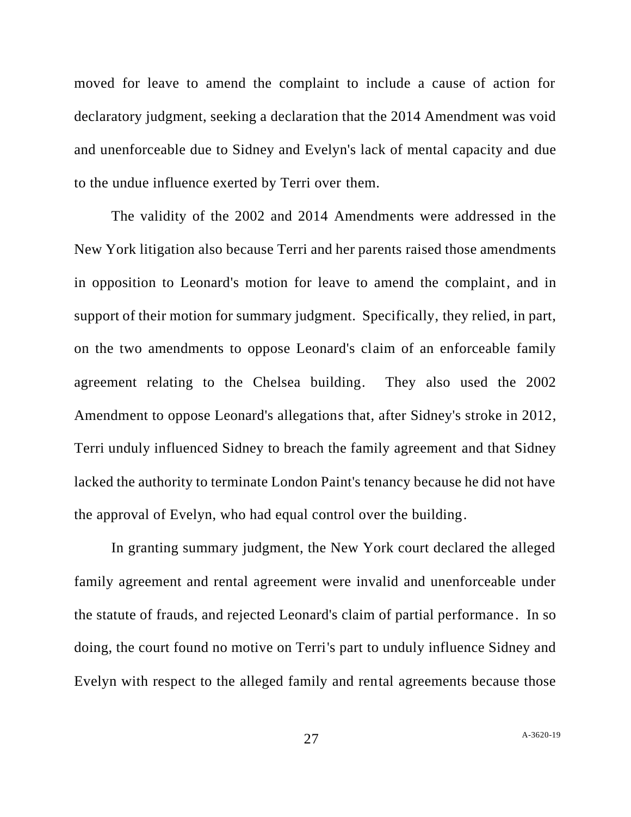moved for leave to amend the complaint to include a cause of action for declaratory judgment, seeking a declaration that the 2014 Amendment was void and unenforceable due to Sidney and Evelyn's lack of mental capacity and due to the undue influence exerted by Terri over them.

The validity of the 2002 and 2014 Amendments were addressed in the New York litigation also because Terri and her parents raised those amendments in opposition to Leonard's motion for leave to amend the complaint, and in support of their motion for summary judgment. Specifically, they relied, in part, on the two amendments to oppose Leonard's claim of an enforceable family agreement relating to the Chelsea building. They also used the 2002 Amendment to oppose Leonard's allegations that, after Sidney's stroke in 2012, Terri unduly influenced Sidney to breach the family agreement and that Sidney lacked the authority to terminate London Paint's tenancy because he did not have the approval of Evelyn, who had equal control over the building.

In granting summary judgment, the New York court declared the alleged family agreement and rental agreement were invalid and unenforceable under the statute of frauds, and rejected Leonard's claim of partial performance . In so doing, the court found no motive on Terri's part to unduly influence Sidney and Evelyn with respect to the alleged family and rental agreements because those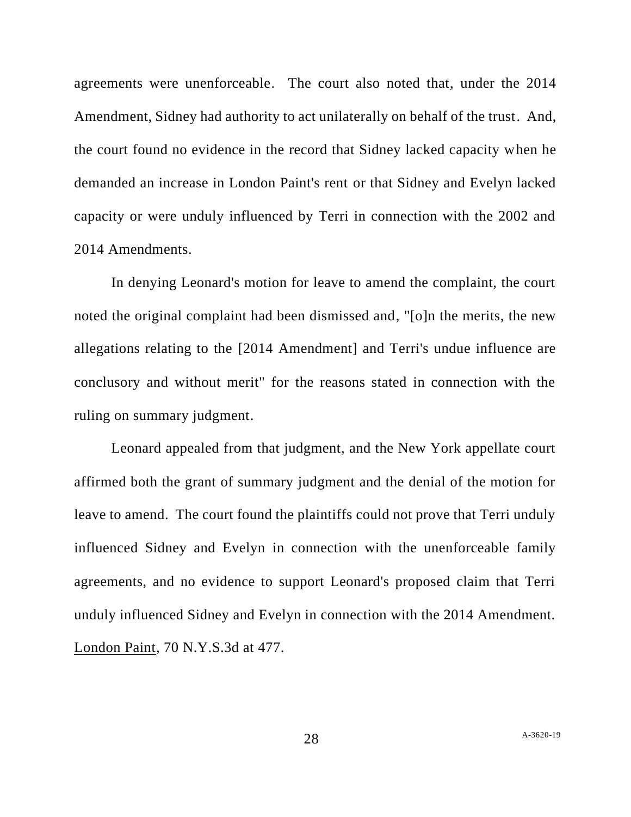agreements were unenforceable. The court also noted that, under the 2014 Amendment, Sidney had authority to act unilaterally on behalf of the trust. And, the court found no evidence in the record that Sidney lacked capacity when he demanded an increase in London Paint's rent or that Sidney and Evelyn lacked capacity or were unduly influenced by Terri in connection with the 2002 and 2014 Amendments.

In denying Leonard's motion for leave to amend the complaint, the court noted the original complaint had been dismissed and, "[o]n the merits, the new allegations relating to the [2014 Amendment] and Terri's undue influence are conclusory and without merit" for the reasons stated in connection with the ruling on summary judgment.

Leonard appealed from that judgment, and the New York appellate court affirmed both the grant of summary judgment and the denial of the motion for leave to amend. The court found the plaintiffs could not prove that Terri unduly influenced Sidney and Evelyn in connection with the unenforceable family agreements, and no evidence to support Leonard's proposed claim that Terri unduly influenced Sidney and Evelyn in connection with the 2014 Amendment. London Paint, 70 N.Y.S.3d at 477.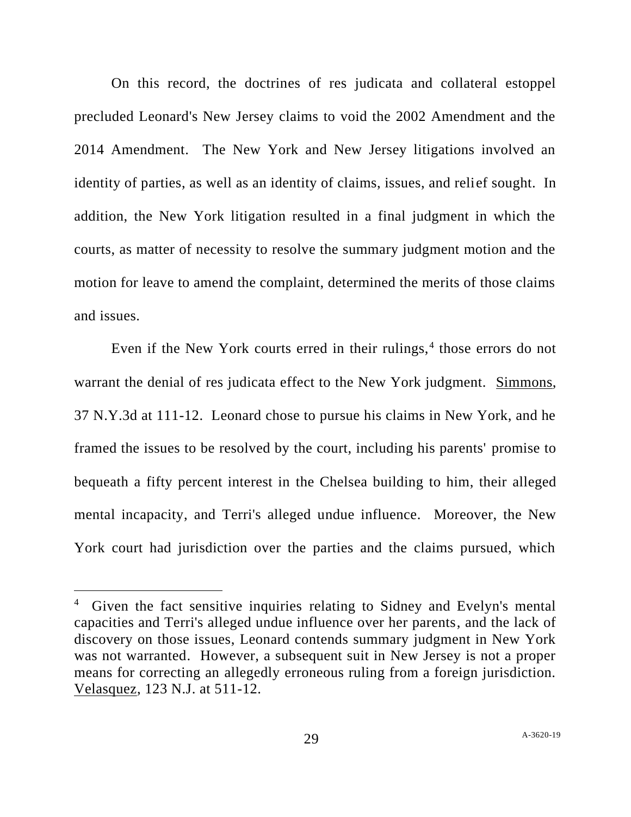On this record, the doctrines of res judicata and collateral estoppel precluded Leonard's New Jersey claims to void the 2002 Amendment and the 2014 Amendment. The New York and New Jersey litigations involved an identity of parties, as well as an identity of claims, issues, and relief sought. In addition, the New York litigation resulted in a final judgment in which the courts, as matter of necessity to resolve the summary judgment motion and the motion for leave to amend the complaint, determined the merits of those claims and issues.

Even if the New York courts erred in their rulings, $4$  those errors do not warrant the denial of res judicata effect to the New York judgment. Simmons, 37 N.Y.3d at 111-12. Leonard chose to pursue his claims in New York, and he framed the issues to be resolved by the court, including his parents' promise to bequeath a fifty percent interest in the Chelsea building to him, their alleged mental incapacity, and Terri's alleged undue influence. Moreover, the New York court had jurisdiction over the parties and the claims pursued, which

<sup>4</sup> Given the fact sensitive inquiries relating to Sidney and Evelyn's mental capacities and Terri's alleged undue influence over her parents, and the lack of discovery on those issues, Leonard contends summary judgment in New York was not warranted. However, a subsequent suit in New Jersey is not a proper means for correcting an allegedly erroneous ruling from a foreign jurisdiction. Velasquez, 123 N.J. at 511-12.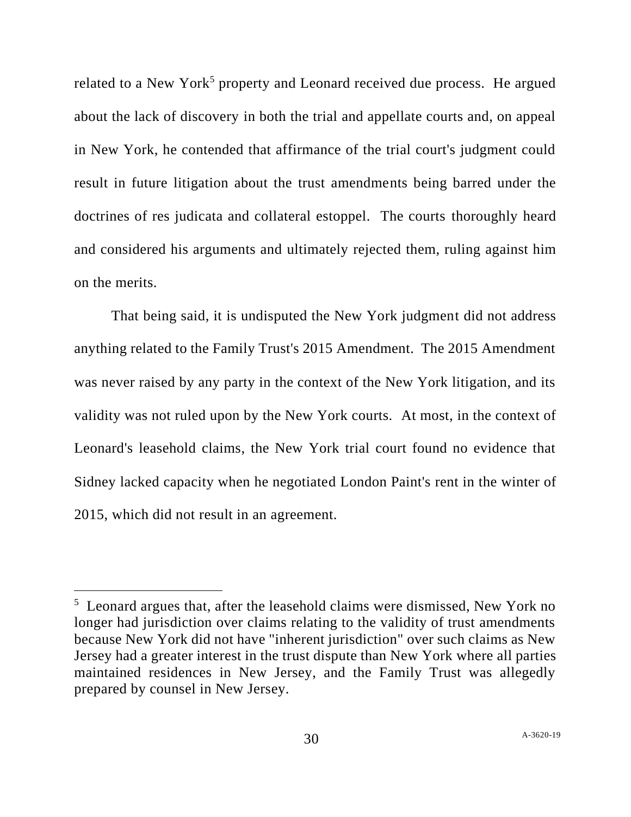related to a New York<sup>5</sup> property and Leonard received due process. He argued about the lack of discovery in both the trial and appellate courts and, on appeal in New York, he contended that affirmance of the trial court's judgment could result in future litigation about the trust amendments being barred under the doctrines of res judicata and collateral estoppel. The courts thoroughly heard and considered his arguments and ultimately rejected them, ruling against him on the merits.

That being said, it is undisputed the New York judgment did not address anything related to the Family Trust's 2015 Amendment. The 2015 Amendment was never raised by any party in the context of the New York litigation, and its validity was not ruled upon by the New York courts. At most, in the context of Leonard's leasehold claims, the New York trial court found no evidence that Sidney lacked capacity when he negotiated London Paint's rent in the winter of 2015, which did not result in an agreement.

<sup>&</sup>lt;sup>5</sup> Leonard argues that, after the leasehold claims were dismissed, New York no longer had jurisdiction over claims relating to the validity of trust amendments because New York did not have "inherent jurisdiction" over such claims as New Jersey had a greater interest in the trust dispute than New York where all parties maintained residences in New Jersey, and the Family Trust was allegedly prepared by counsel in New Jersey.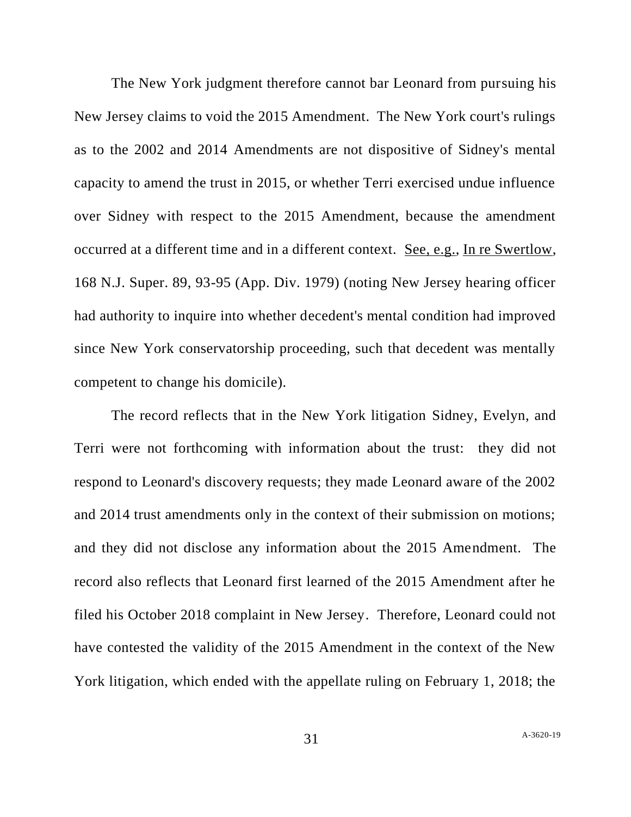The New York judgment therefore cannot bar Leonard from pursuing his New Jersey claims to void the 2015 Amendment. The New York court's rulings as to the 2002 and 2014 Amendments are not dispositive of Sidney's mental capacity to amend the trust in 2015, or whether Terri exercised undue influence over Sidney with respect to the 2015 Amendment, because the amendment occurred at a different time and in a different context. See, e.g., In re Swertlow, 168 N.J. Super. 89, 93-95 (App. Div. 1979) (noting New Jersey hearing officer had authority to inquire into whether decedent's mental condition had improved since New York conservatorship proceeding, such that decedent was mentally competent to change his domicile).

The record reflects that in the New York litigation Sidney, Evelyn, and Terri were not forthcoming with information about the trust: they did not respond to Leonard's discovery requests; they made Leonard aware of the 2002 and 2014 trust amendments only in the context of their submission on motions; and they did not disclose any information about the 2015 Amendment. The record also reflects that Leonard first learned of the 2015 Amendment after he filed his October 2018 complaint in New Jersey. Therefore, Leonard could not have contested the validity of the 2015 Amendment in the context of the New York litigation, which ended with the appellate ruling on February 1, 2018; the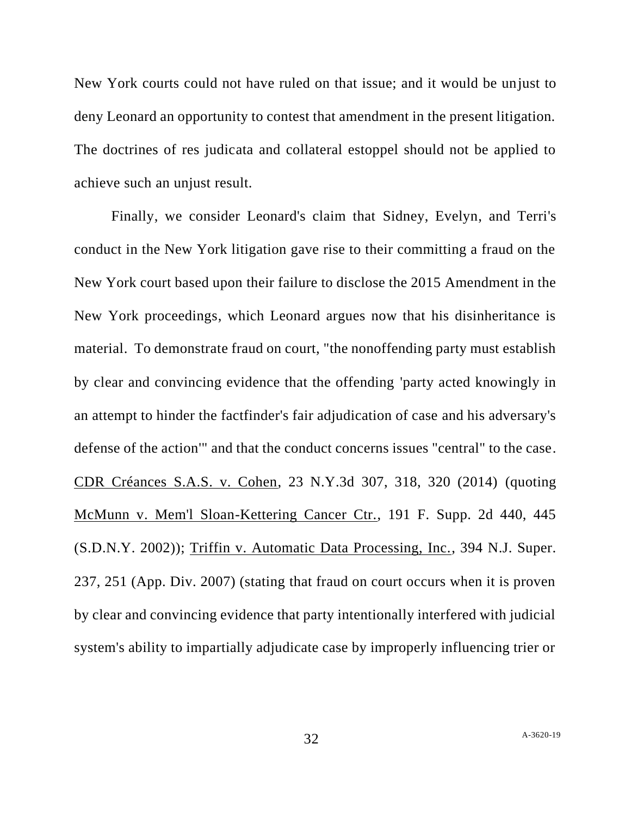New York courts could not have ruled on that issue; and it would be unjust to deny Leonard an opportunity to contest that amendment in the present litigation. The doctrines of res judicata and collateral estoppel should not be applied to achieve such an unjust result.

Finally, we consider Leonard's claim that Sidney, Evelyn, and Terri's conduct in the New York litigation gave rise to their committing a fraud on the New York court based upon their failure to disclose the 2015 Amendment in the New York proceedings, which Leonard argues now that his disinheritance is material. To demonstrate fraud on court, "the nonoffending party must establish by clear and convincing evidence that the offending 'party acted knowingly in an attempt to hinder the factfinder's fair adjudication of case and his adversary's defense of the action'" and that the conduct concerns issues "central" to the case. CDR Créances S.A.S. v. Cohen, 23 N.Y.3d 307, 318, 320 (2014) (quoting McMunn v. Mem'l Sloan-Kettering Cancer Ctr., 191 F. Supp. 2d 440, 445 (S.D.N.Y. 2002)); Triffin v. Automatic Data Processing, Inc., 394 N.J. Super. 237, 251 (App. Div. 2007) (stating that fraud on court occurs when it is proven by clear and convincing evidence that party intentionally interfered with judicial system's ability to impartially adjudicate case by improperly influencing trier or